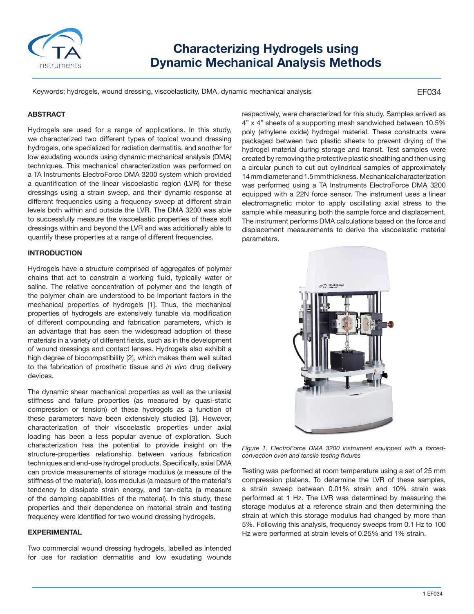

# **Characterizing Hydrogels using Dynamic Mechanical Analysis Methods**

Keywords: hydrogels, wound dressing, viscoelasticity, DMA, dynamic mechanical analysis

#### EF034

### **ABSTRACT**

Hydrogels are used for a range of applications. In this study, we characterized two different types of topical wound dressing hydrogels, one specialized for radiation dermatitis, and another for low exudating wounds using dynamic mechanical analysis (DMA) techniques. This mechanical characterization was performed on a TA Instruments ElectroForce DMA 3200 system which provided a quantification of the linear viscoelastic region (LVR) for these dressings using a strain sweep, and their dynamic response at different frequencies using a frequency sweep at different strain levels both within and outside the LVR. The DMA 3200 was able to successfully measure the viscoelastic properties of these soft dressings within and beyond the LVR and was additionally able to quantify these properties at a range of different frequencies.

### **INTRODUCTION**

Hydrogels have a structure comprised of aggregates of polymer chains that act to constrain a working fluid, typically water or saline. The relative concentration of polymer and the length of the polymer chain are understood to be important factors in the mechanical properties of hydrogels [1]. Thus, the mechanical properties of hydrogels are extensively tunable via modification of different compounding and fabrication parameters, which is an advantage that has seen the widespread adoption of these materials in a variety of different fields, such as in the development of wound dressings and contact lenses. Hydrogels also exhibit a high degree of biocompatibility [2], which makes them well suited to the fabrication of prosthetic tissue and *in vivo* drug delivery devices.

The dynamic shear mechanical properties as well as the uniaxial stiffness and failure properties (as measured by quasi-static compression or tension) of these hydrogels as a function of these parameters have been extensively studied [3]. However, characterization of their viscoelastic properties under axial loading has been a less popular avenue of exploration. Such characterization has the potential to provide insight on the structure-properties relationship between various fabrication techniques and end-use hydrogel products. Specifically, axial DMA can provide measurements of storage modulus (a measure of the stiffness of the material), loss modulus (a measure of the material's tendency to dissipate strain energy, and tan-delta (a measure of the damping capabilities of the material). In this study, these properties and their dependence on material strain and testing frequency were identified for two wound dressing hydrogels.

#### **EXPERIMENTAL**

Two commercial wound dressing hydrogels, labelled as intended for use for radiation dermatitis and low exudating wounds respectively, were characterized for this study. Samples arrived as 4" x 4" sheets of a supporting mesh sandwiched between 10.5% poly (ethylene oxide) hydrogel material. These constructs were packaged between two plastic sheets to prevent drying of the hydrogel material during storage and transit. Test samples were created by removing the protective plastic sheathing and then using a circular punch to cut out cylindrical samples of approximately 14 mm diameter and 1.5 mm thickness. Mechanical characterization was performed using a TA Instruments ElectroForce DMA 3200 equipped with a 22N force sensor. The instrument uses a linear electromagnetic motor to apply oscillating axial stress to the sample while measuring both the sample force and displacement. The instrument performs DMA calculations based on the force and displacement measurements to derive the viscoelastic material parameters.



*Figure 1. ElectroForce DMA 3200 instrument equipped with a forcedconvection oven and tensile testing fixtures*

Testing was performed at room temperature using a set of 25 mm compression platens. To determine the LVR of these samples, a strain sweep between 0.01% strain and 10% strain was performed at 1 Hz. The LVR was determined by measuring the storage modulus at a reference strain and then determining the strain at which this storage modulus had changed by more than 5%. Following this analysis, frequency sweeps from 0.1 Hz to 100 Hz were performed at strain levels of 0.25% and 1% strain.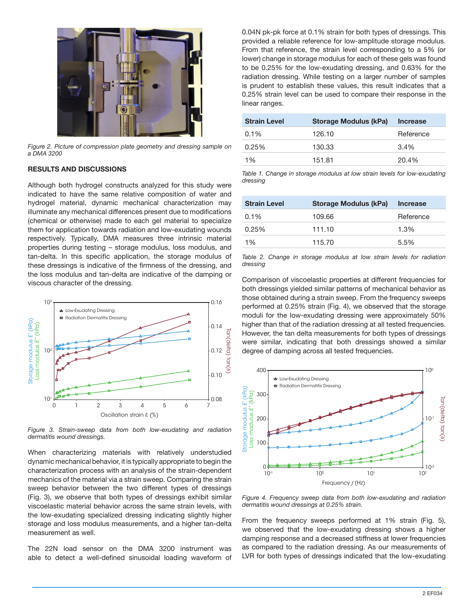

*Figure 2. Picture of compression plate geometry and dressing sample on a DMA 3200*

#### **RESULTS AND DISCUSSIONS**

Although both hydrogel constructs analyzed for this study were indicated to have the same relative composition of water and hydrogel material, dynamic mechanical characterization may illuminate any mechanical differences present due to modifications (chemical or otherwise) made to each gel material to specialize them for application towards radiation and low-exudating wounds respectively. Typically, DMA measures three intrinsic material properties during testing – storage modulus, loss modulus, and tan-delta. In this specific application, the storage modulus of these dressings is indicative of the firmness of the dressing, and the loss modulus and tan-delta are indicative of the damping or viscous character of the dressing.



*Figure 3. Strain-sweep data from both low-exudating and radiation dermatitis wound dressings.* 

When characterizing materials with relatively understudied dynamic mechanical behavior, it is typically appropriate to begin the characterization process with an analysis of the strain-dependent mechanics of the material via a strain sweep. Comparing the strain sweep behavior between the two different types of dressings (Fig. 3), we observe that both types of dressings exhibit similar viscoelastic material behavior across the same strain levels, with the low-exudating specialized dressing indicating slightly higher storage and loss modulus measurements, and a higher tan-delta measurement as well.

The 22N load sensor on the DMA 3200 instrument was able to detect a well-defined sinusoidal loading waveform of 0.04N pk-pk force at 0.1% strain for both types of dressings. This provided a reliable reference for low-amplitude storage modulus. From that reference, the strain level corresponding to a 5% (or lower) change in storage modulus for each of these gels was found to be 0.25% for the low-exudating dressing, and 0.63% for the radiation dressing. While testing on a larger number of samples is prudent to establish these values, this result indicates that a 0.25% strain level can be used to compare their response in the linear ranges.

| <b>Strain Level</b> | Storage Modulus (kPa) | <b>Increase</b> |
|---------------------|-----------------------|-----------------|
| $0.1\%$             | 126.10                | Reference       |
| 0.25%               | 130.33                | $3.4\%$         |
| 1%                  | 151.81                | 20.4%           |

*Table 1. Change in storage modulus at low strain levels for low-exudating dressing*

| <b>Strain Level</b> | Storage Modulus (kPa) | <b>Increase</b> |
|---------------------|-----------------------|-----------------|
| $0.1\%$             | 109.66                | Reference       |
| 0.25%               | 111.10                | 1.3%            |
| 1%                  | 115.70                | 5.5%            |

*Table 2. Change in storage modulus at low strain levels for radiation dressing*

Comparison of viscoelastic properties at different frequencies for both dressings yielded similar patterns of mechanical behavior as those obtained during a strain sweep. From the frequency sweeps performed at 0.25% strain (Fig. 4), we observed that the storage moduli for the low-exudating dressing were approximately 50% higher than that of the radiation dressing at all tested frequencies. However, the tan delta measurements for both types of dressings were similar, indicating that both dressings showed a similar degree of damping across all tested frequencies.



*Figure 4. Frequency sweep data from both low-exudating and radiation dermatitis wound dressings at 0.25% strain.* 

From the frequency sweeps performed at 1% strain (Fig. 5), we observed that the low-exudating dressing shows a higher damping response and a decreased stiffness at lower frequencies as compared to the radiation dressing. As our measurements of LVR for both types of dressings indicated that the low-exudating